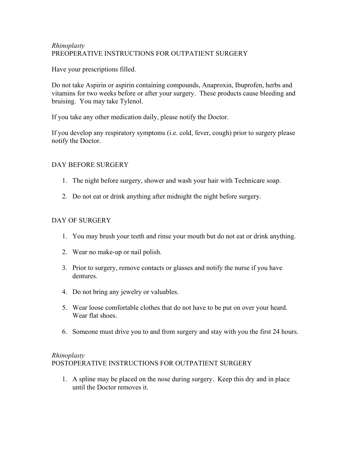## Rhinoplasty PREOPERATIVE INSTRUCTIONS FOR OUTPATIENT SURGERY

Have your prescriptions filled.

Do not take Aspirin or aspirin containing compounds, Anaproxin, Ibuprofen, herbs and vitamins for two weeks before or after your surgery. These products cause bleeding and bruising. You may take Tylenol.

If you take any other medication daily, please notify the Doctor.

If you develop any respiratory symptoms (i.e. cold, fever, cough) prior to surgery please notify the Doctor.

## DAY BEFORE SURGERY

- 1. The night before surgery, shower and wash your hair with Technicare soap.
- 2. Do not eat or drink anything after midnight the night before surgery.

## DAY OF SURGERY

- 1. You may brush your teeth and rinse your mouth but do not eat or drink anything.
- 2. Wear no make-up or nail polish.
- 3. Prior to surgery, remove contacts or glasses and notify the nurse if you have dentures.
- 4. Do not bring any jewelry or valuables.
- 5. Wear loose comfortable clothes that do not have to be put on over your heard. Wear flat shoes.
- 6. Someone must drive you to and from surgery and stay with you the first 24 hours.

## Rhinoplasty POSTOPERATIVE INSTRUCTIONS FOR OUTPATIENT SURGERY

1. A spline may be placed on the nose during surgery. Keep this dry and in place until the Doctor removes it.